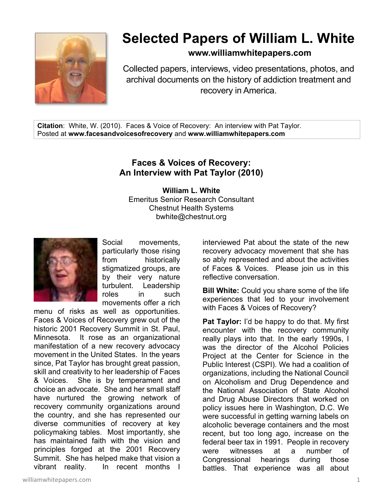

## **Selected Papers of William L. White**

**www.williamwhitepapers.com**

Collected papers, interviews, video presentations, photos, and archival documents on the history of addiction treatment and recovery in America.

**Citation**: White, W. (2010). Faces & Voice of Recovery: An interview with Pat Taylor. Posted at **www.facesandvoicesofrecovery** and **www.williamwhitepapers.com** 

## **Faces & Voices of Recovery: An Interview with Pat Taylor (2010)**

**William L. White**  Emeritus Senior Research Consultant Chestnut Health Systems bwhite@chestnut.org



Social movements, particularly those rising from historically stigmatized groups, are by their very nature turbulent. Leadership roles in such movements offer a rich

menu of risks as well as opportunities. Faces & Voices of Recovery grew out of the historic 2001 Recovery Summit in St. Paul, Minnesota. It rose as an organizational manifestation of a new recovery advocacy movement in the United States. In the years since, Pat Taylor has brought great passion, skill and creativity to her leadership of Faces & Voices. She is by temperament and choice an advocate. She and her small staff have nurtured the growing network of recovery community organizations around the country, and she has represented our diverse communities of recovery at key policymaking tables. Most importantly, she has maintained faith with the vision and principles forged at the 2001 Recovery Summit. She has helped make that vision a vibrant reality. In recent months I

interviewed Pat about the state of the new recovery advocacy movement that she has so ably represented and about the activities of Faces & Voices. Please join us in this reflective conversation.

**Bill White:** Could you share some of the life experiences that led to your involvement with Faces & Voices of Recovery?

**Pat Taylor:** I'd be happy to do that. My first encounter with the recovery community really plays into that. In the early 1990s, I was the director of the Alcohol Policies Project at the Center for Science in the Public Interest (CSPI). We had a coalition of organizations, including the National Council on Alcoholism and Drug Dependence and the National Association of State Alcohol and Drug Abuse Directors that worked on policy issues here in Washington, D.C. We were successful in getting warning labels on alcoholic beverage containers and the most recent, but too long ago, increase on the federal beer tax in 1991. People in recovery were witnesses at a number of Congressional hearings during those battles. That experience was all about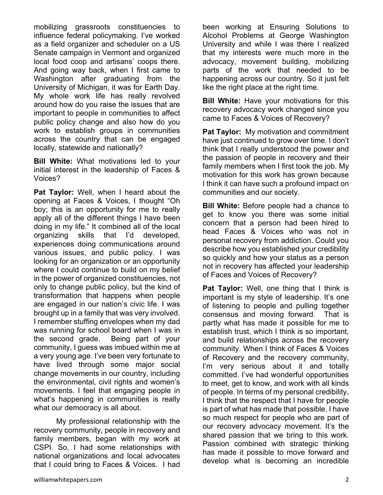mobilizing grassroots constituencies to influence federal policymaking. I've worked as a field organizer and scheduler on a US Senate campaign in Vermont and organized local food coop and artisans' coops there. And going way back, when I first came to Washington after graduating from the University of Michigan, it was for Earth Day. My whole work life has really revolved around how do you raise the issues that are important to people in communities to affect public policy change and also how do you work to establish groups in communities across the country that can be engaged locally, statewide and nationally?

**Bill White:** What motivations led to your initial interest in the leadership of Faces & Voices?

**Pat Taylor:** Well, when I heard about the opening at Faces & Voices, I thought "Oh boy; this is an opportunity for me to really apply all of the different things I have been doing in my life." It combined all of the local organizing skills that I'd developed, experiences doing communications around various issues, and public policy. I was looking for an organization or an opportunity where I could continue to build on my belief in the power of organized constituencies, not only to change public policy, but the kind of transformation that happens when people are engaged in our nation's civic life. I was brought up in a family that was very involved. I remember stuffing envelopes when my dad was running for school board when I was in the second grade. Being part of your community, I guess was imbued within me at a very young age. I've been very fortunate to have lived through some major social change movements in our country, including the environmental, civil rights and women's movements. I feel that engaging people in what's happening in communities is really what our democracy is all about.

 My professional relationship with the recovery community, people in recovery and family members, began with my work at CSPI. So, I had some relationships with national organizations and local advocates that I could bring to Faces & Voices. I had been working at Ensuring Solutions to Alcohol Problems at George Washington University and while I was there I realized that my interests were much more in the advocacy, movement building, mobilizing parts of the work that needed to be happening across our country. So it just felt like the right place at the right time.

**Bill White:** Have your motivations for this recovery advocacy work changed since you came to Faces & Voices of Recovery?

**Pat Taylor:** My motivation and commitment have just continued to grow over time. I don't think that I really understood the power and the passion of people in recovery and their family members when I first took the job. My motivation for this work has grown because I think it can have such a profound impact on communities and our society.

**Bill White:** Before people had a chance to get to know you there was some initial concern that a person had been hired to head Faces & Voices who was not in personal recovery from addiction. Could you describe how you established your credibility so quickly and how your status as a person not in recovery has affected your leadership of Faces and Voices of Recovery?

**Pat Taylor:** Well, one thing that I think is important is my style of leadership. It's one of listening to people and pulling together consensus and moving forward. That is partly what has made it possible for me to establish trust, which I think is so important, and build relationships across the recovery community. When I think of Faces & Voices of Recovery and the recovery community, I'm very serious about it and totally committed. I've had wonderful opportunities to meet, get to know, and work with all kinds of people. In terms of my personal credibility, I think that the respect that I have for people is part of what has made that possible. I have so much respect for people who are part of our recovery advocacy movement. It's the shared passion that we bring to this work. Passion combined with strategic thinking has made it possible to move forward and develop what is becoming an incredible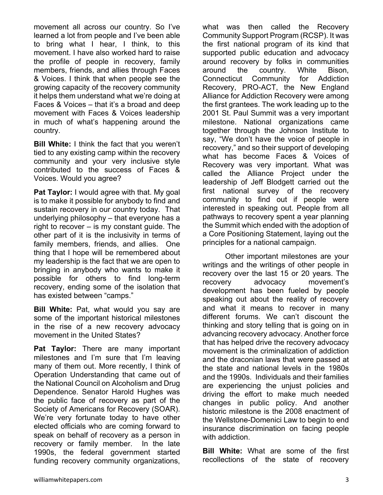movement all across our country. So I've learned a lot from people and I've been able to bring what I hear, I think, to this movement. I have also worked hard to raise the profile of people in recovery, family members, friends, and allies through Faces & Voices. I think that when people see the growing capacity of the recovery community it helps them understand what we're doing at Faces & Voices – that it's a broad and deep movement with Faces & Voices leadership in much of what's happening around the country.

**Bill White:** I think the fact that you weren't tied to any existing camp within the recovery community and your very inclusive style contributed to the success of Faces & Voices. Would you agree?

**Pat Taylor:** I would agree with that. My goal is to make it possible for anybody to find and sustain recovery in our country today. That underlying philosophy – that everyone has a right to recover – is my constant guide. The other part of it is the inclusivity in terms of family members, friends, and allies. One thing that I hope will be remembered about my leadership is the fact that we are open to bringing in anybody who wants to make it possible for others to find long-term recovery, ending some of the isolation that has existed between "camps."

**Bill White:** Pat, what would you say are some of the important historical milestones in the rise of a new recovery advocacy movement in the United States?

**Pat Taylor:** There are many important milestones and I'm sure that I'm leaving many of them out. More recently, I think of Operation Understanding that came out of the National Council on Alcoholism and Drug Dependence. Senator Harold Hughes was the public face of recovery as part of the Society of Americans for Recovery (SOAR). We're very fortunate today to have other elected officials who are coming forward to speak on behalf of recovery as a person in recovery or family member. In the late 1990s, the federal government started funding recovery community organizations,

what was then called the Recovery Community Support Program (RCSP). It was the first national program of its kind that supported public education and advocacy around recovery by folks in communities around the country. White Bison, Connecticut Community for Addiction Recovery, PRO-ACT, the New England Alliance for Addiction Recovery were among the first grantees. The work leading up to the 2001 St. Paul Summit was a very important milestone. National organizations came together through the Johnson Institute to say, "We don't have the voice of people in recovery," and so their support of developing what has become Faces & Voices of Recovery was very important. What was called the Alliance Project under the leadership of Jeff Blodgett carried out the first national survey of the recovery community to find out if people were interested in speaking out. People from all pathways to recovery spent a year planning the Summit which ended with the adoption of a Core Positioning Statement, laying out the principles for a national campaign.

 Other important milestones are your writings and the writings of other people in recovery over the last 15 or 20 years. The recovery advocacy movement's development has been fueled by people speaking out about the reality of recovery and what it means to recover in many different forums. We can't discount the thinking and story telling that is going on in advancing recovery advocacy. Another force that has helped drive the recovery advocacy movement is the criminalization of addiction and the draconian laws that were passed at the state and national levels in the 1980s and the 1990s. Individuals and their families are experiencing the unjust policies and driving the effort to make much needed changes in public policy. And another historic milestone is the 2008 enactment of the Wellstone-Domenici Law to begin to end insurance discrimination on facing people with addiction.

**Bill White:** What are some of the first recollections of the state of recovery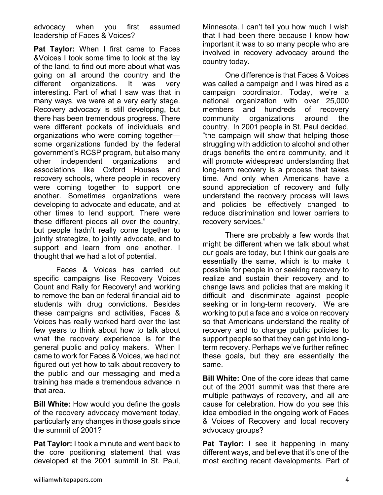advocacy when you first assumed leadership of Faces & Voices?

**Pat Taylor:** When I first came to Faces &Voices I took some time to look at the lay of the land, to find out more about what was going on all around the country and the different organizations. It was very interesting. Part of what I saw was that in many ways, we were at a very early stage. Recovery advocacy is still developing, but there has been tremendous progress. There were different pockets of individuals and organizations who were coming together some organizations funded by the federal government's RCSP program, but also many other independent organizations and associations like Oxford Houses and recovery schools, where people in recovery were coming together to support one another. Sometimes organizations were developing to advocate and educate, and at other times to lend support. There were these different pieces all over the country, but people hadn't really come together to jointly strategize, to jointly advocate, and to support and learn from one another. I thought that we had a lot of potential.

 Faces & Voices has carried out specific campaigns like Recovery Voices Count and Rally for Recovery! and working to remove the ban on federal financial aid to students with drug convictions. Besides these campaigns and activities, Faces & Voices has really worked hard over the last few years to think about how to talk about what the recovery experience is for the general public and policy makers. When I came to work for Faces & Voices, we had not figured out yet how to talk about recovery to the public and our messaging and media training has made a tremendous advance in that area.

**Bill White:** How would you define the goals of the recovery advocacy movement today, particularly any changes in those goals since the summit of 2001?

**Pat Taylor:** I took a minute and went back to the core positioning statement that was developed at the 2001 summit in St. Paul,

Minnesota. I can't tell you how much I wish that I had been there because I know how important it was to so many people who are involved in recovery advocacy around the country today.

 One difference is that Faces & Voices was called a campaign and I was hired as a campaign coordinator. Today, we're a national organization with over 25,000 members and hundreds of recovery community organizations around the country. In 2001 people in St. Paul decided, "the campaign will show that helping those struggling with addiction to alcohol and other drugs benefits the entire community, and it will promote widespread understanding that long-term recovery is a process that takes time. And only when Americans have a sound appreciation of recovery and fully understand the recovery process will laws and policies be effectively changed to reduce discrimination and lower barriers to recovery services."

 There are probably a few words that might be different when we talk about what our goals are today, but I think our goals are essentially the same, which is to make it possible for people in or seeking recovery to realize and sustain their recovery and to change laws and policies that are making it difficult and discriminate against people seeking or in long-term recovery. We are working to put a face and a voice on recovery so that Americans understand the reality of recovery and to change public policies to support people so that they can get into longterm recovery. Perhaps we've further refined these goals, but they are essentially the same.

**Bill White:** One of the core ideas that came out of the 2001 summit was that there are multiple pathways of recovery, and all are cause for celebration. How do you see this idea embodied in the ongoing work of Faces & Voices of Recovery and local recovery advocacy groups?

**Pat Taylor:** I see it happening in many different ways, and believe that it's one of the most exciting recent developments. Part of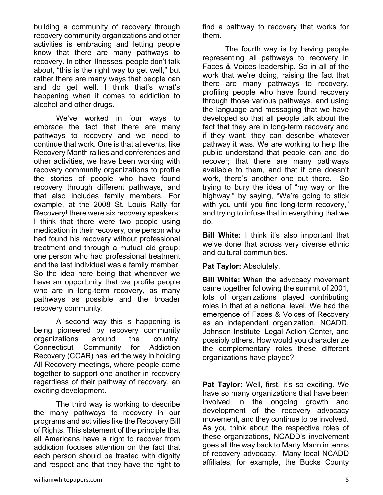building a community of recovery through recovery community organizations and other activities is embracing and letting people know that there are many pathways to recovery. In other illnesses, people don't talk about, "this is the right way to get well," but rather there are many ways that people can and do get well. I think that's what's happening when it comes to addiction to alcohol and other drugs.

 We've worked in four ways to embrace the fact that there are many pathways to recovery and we need to continue that work. One is that at events, like Recovery Month rallies and conferences and other activities, we have been working with recovery community organizations to profile the stories of people who have found recovery through different pathways, and that also includes family members. For example, at the 2008 St. Louis Rally for Recovery! there were six recovery speakers. I think that there were two people using medication in their recovery, one person who had found his recovery without professional treatment and through a mutual aid group; one person who had professional treatment and the last individual was a family member. So the idea here being that whenever we have an opportunity that we profile people who are in long-term recovery, as many pathways as possible and the broader recovery community.

 A second way this is happening is being pioneered by recovery community organizations around the country. Connecticut Community for Addiction Recovery (CCAR) has led the way in holding All Recovery meetings, where people come together to support one another in recovery regardless of their pathway of recovery, an exciting development.

 The third way is working to describe the many pathways to recovery in our programs and activities like the Recovery Bill of Rights. This statement of the principle that all Americans have a right to recover from addiction focuses attention on the fact that each person should be treated with dignity and respect and that they have the right to

 The fourth way is by having people representing all pathways to recovery in Faces & Voices leadership. So in all of the work that we're doing, raising the fact that there are many pathways to recovery, profiling people who have found recovery through those various pathways, and using the language and messaging that we have developed so that all people talk about the fact that they are in long-term recovery and if they want, they can describe whatever pathway it was. We are working to help the public understand that people can and do recover; that there are many pathways available to them, and that if one doesn't work, there's another one out there. So trying to bury the idea of "my way or the highway," by saying, "We're going to stick with you until you find long-term recovery," and trying to infuse that in everything that we do.

**Bill White:** I think it's also important that we've done that across very diverse ethnic and cultural communities.

**Pat Taylor:** Absolutely.

**Bill White: W**hen the advocacy movement came together following the summit of 2001, lots of organizations played contributing roles in that at a national level. We had the emergence of Faces & Voices of Recovery as an independent organization, NCADD, Johnson Institute, Legal Action Center, and possibly others. How would you characterize the complementary roles these different organizations have played?

**Pat Taylor:** Well, first, it's so exciting. We have so many organizations that have been involved in the ongoing growth and development of the recovery advocacy movement, and they continue to be involved. As you think about the respective roles of these organizations, NCADD's involvement goes all the way back to Marty Mann in terms of recovery advocacy. Many local NCADD affiliates, for example, the Bucks County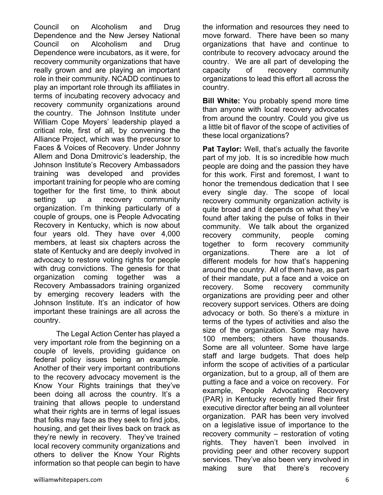Council on Alcoholism and Drug Dependence and the New Jersey National Council on Alcoholism and Drug Dependence were incubators, as it were, for recovery community organizations that have really grown and are playing an important role in their community. NCADD continues to play an important role through its affiliates in terms of incubating recovery advocacy and recovery community organizations around the country. The Johnson Institute under William Cope Moyers' leadership played a critical role, first of all, by convening the Alliance Project, which was the precursor to Faces & Voices of Recovery. Under Johnny Allem and Dona Dmitrovic's leadership, the Johnson Institute's Recovery Ambassadors training was developed and provides important training for people who are coming together for the first time, to think about setting up a recovery community organization. I'm thinking particularly of a couple of groups, one is People Advocating Recovery in Kentucky, which is now about four years old. They have over 4,000 members, at least six chapters across the state of Kentucky and are deeply involved in advocacy to restore voting rights for people with drug convictions. The genesis for that organization coming together was a Recovery Ambassadors training organized by emerging recovery leaders with the Johnson Institute. It's an indicator of how important these trainings are all across the country.

 The Legal Action Center has played a very important role from the beginning on a couple of levels, providing guidance on federal policy issues being an example. Another of their very important contributions to the recovery advocacy movement is the Know Your Rights trainings that they've been doing all across the country. It's a training that allows people to understand what their rights are in terms of legal issues that folks may face as they seek to find jobs, housing, and get their lives back on track as they're newly in recovery. They've trained local recovery community organizations and others to deliver the Know Your Rights information so that people can begin to have

the information and resources they need to move forward. There have been so many organizations that have and continue to contribute to recovery advocacy around the country. We are all part of developing the capacity of recovery community organizations to lead this effort all across the country.

**Bill White:** You probably spend more time than anyone with local recovery advocates from around the country. Could you give us a little bit of flavor of the scope of activities of these local organizations?

**Pat Taylor:** Well, that's actually the favorite part of my job. It is so incredible how much people are doing and the passion they have for this work. First and foremost, I want to honor the tremendous dedication that I see every single day. The scope of local recovery community organization activity is quite broad and it depends on what they've found after taking the pulse of folks in their community. We talk about the organized recovery community, people coming together to form recovery community organizations. There are a lot of different models for how that's happening around the country. All of them have, as part of their mandate, put a face and a voice on recovery. Some recovery community organizations are providing peer and other recovery support services. Others are doing advocacy or both. So there's a mixture in terms of the types of activities and also the size of the organization. Some may have 100 members; others have thousands. Some are all volunteer. Some have large staff and large budgets. That does help inform the scope of activities of a particular organization, but to a group, all of them are putting a face and a voice on recovery. For example, People Advocating Recovery (PAR) in Kentucky recently hired their first executive director after being an all volunteer organization. PAR has been very involved on a legislative issue of importance to the recovery community – restoration of voting rights. They haven't been involved in providing peer and other recovery support services. They've also been very involved in making sure that there's recovery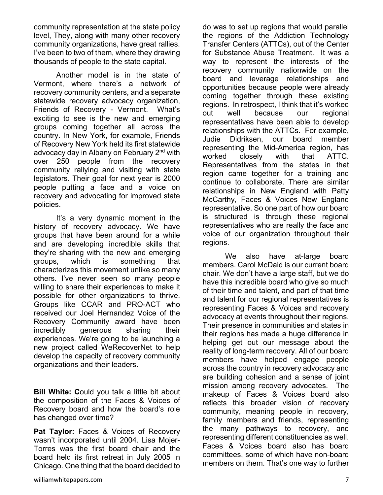community representation at the state policy level, They, along with many other recovery community organizations, have great rallies. I've been to two of them, where they drawing thousands of people to the state capital.

 Another model is in the state of Vermont, where there's a network of recovery community centers, and a separate statewide recovery advocacy organization, Friends of Recovery - Vermont. What's exciting to see is the new and emerging groups coming together all across the country. In New York, for example, Friends of Recovery New York held its first statewide advocacy day in Albany on February 2<sup>nd</sup> with over 250 people from the recovery community rallying and visiting with state legislators. Their goal for next year is 2000 people putting a face and a voice on recovery and advocating for improved state policies.

 It's a very dynamic moment in the history of recovery advocacy. We have groups that have been around for a while and are developing incredible skills that they're sharing with the new and emerging groups, which is something that characterizes this movement unlike so many others. I've never seen so many people willing to share their experiences to make it possible for other organizations to thrive. Groups like CCAR and PRO-ACT who received our Joel Hernandez Voice of the Recovery Community award have been incredibly generous sharing their experiences. We're going to be launching a new project called WeRecoverNet to help develop the capacity of recovery community organizations and their leaders.

**Bill White: C**ould you talk a little bit about the composition of the Faces & Voices of Recovery board and how the board's role has changed over time?

**Pat Taylor:** Faces & Voices of Recovery wasn't incorporated until 2004. Lisa Mojer-Torres was the first board chair and the board held its first retreat in July 2005 in Chicago. One thing that the board decided to

do was to set up regions that would parallel the regions of the Addiction Technology Transfer Centers (ATTCs), out of the Center for Substance Abuse Treatment. It was a way to represent the interests of the recovery community nationwide on the board and leverage relationships and opportunities because people were already coming together through these existing regions. In retrospect, I think that it's worked out well because our regional representatives have been able to develop relationships with the ATTCs. For example, Judie Didriksen, our board member representing the Mid-America region, has worked closely with that ATTC. Representatives from the states in that region came together for a training and continue to collaborate. There are similar relationships in New England with Patty McCarthy, Faces & Voices New England representative. So one part of how our board is structured is through these regional representatives who are really the face and voice of our organization throughout their regions.

 We also have at-large board members. Carol McDaid is our current board chair. We don't have a large staff, but we do have this incredible board who give so much of their time and talent, and part of that time and talent for our regional representatives is representing Faces & Voices and recovery advocacy at events throughout their regions. Their presence in communities and states in their regions has made a huge difference in helping get out our message about the reality of long-term recovery. All of our board members have helped engage people across the country in recovery advocacy and are building cohesion and a sense of joint mission among recovery advocates. The makeup of Faces & Voices board also reflects this broader vision of recovery community, meaning people in recovery, family members and friends, representing the many pathways to recovery, and representing different constituencies as well. Faces & Voices board also has board committees, some of which have non-board members on them. That's one way to further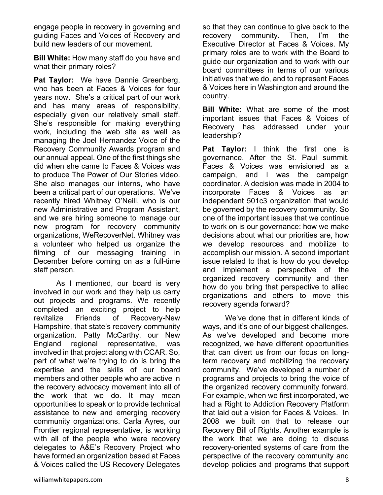engage people in recovery in governing and guiding Faces and Voices of Recovery and build new leaders of our movement.

**Bill White:** How many staff do you have and what their primary roles?

**Pat Taylor:** We have Dannie Greenberg, who has been at Faces & Voices for four years now. She's a critical part of our work and has many areas of responsibility, especially given our relatively small staff. She's responsible for making everything work, including the web site as well as managing the Joel Hernandez Voice of the Recovery Community Awards program and our annual appeal. One of the first things she did when she came to Faces & Voices was to produce The Power of Our Stories video. She also manages our interns, who have been a critical part of our operations. We've recently hired Whitney O'Neill, who is our new Administrative and Program Assistant, and we are hiring someone to manage our new program for recovery community organizations, WeRecoverNet. Whitney was a volunteer who helped us organize the filming of our messaging training in December before coming on as a full-time staff person.

 As I mentioned, our board is very involved in our work and they help us carry out projects and programs. We recently completed an exciting project to help revitalize Friends of Recovery-New Hampshire, that state's recovery community organization. Patty McCarthy, our New England regional representative, was involved in that project along with CCAR. So, part of what we're trying to do is bring the expertise and the skills of our board members and other people who are active in the recovery advocacy movement into all of the work that we do. It may mean opportunities to speak or to provide technical assistance to new and emerging recovery community organizations. Carla Ayres, our Frontier regional representative, is working with all of the people who were recovery delegates to A&E's Recovery Project who have formed an organization based at Faces & Voices called the US Recovery Delegates

so that they can continue to give back to the recovery community. Then, I'm the Executive Director at Faces & Voices. My primary roles are to work with the Board to guide our organization and to work with our board committees in terms of our various initiatives that we do, and to represent Faces & Voices here in Washington and around the country.

**Bill White:** What are some of the most important issues that Faces & Voices of Recovery has addressed under your leadership?

**Pat Taylor:** I think the first one is governance. After the St. Paul summit, Faces & Voices was envisioned as a campaign, and I was the campaign coordinator. A decision was made in 2004 to incorporate Faces & Voices as an independent 501c3 organization that would be governed by the recovery community. So one of the important issues that we continue to work on is our governance: how we make decisions about what our priorities are, how we develop resources and mobilize to accomplish our mission. A second important issue related to that is how do you develop and implement a perspective of the organized recovery community and then how do you bring that perspective to allied organizations and others to move this recovery agenda forward?

 We've done that in different kinds of ways, and it's one of our biggest challenges. As we've developed and become more recognized, we have different opportunities that can divert us from our focus on longterm recovery and mobilizing the recovery community. We've developed a number of programs and projects to bring the voice of the organized recovery community forward. For example, when we first incorporated, we had a Right to Addiction Recovery Platform that laid out a vision for Faces & Voices. In 2008 we built on that to release our Recovery Bill of Rights. Another example is the work that we are doing to discuss recovery-oriented systems of care from the perspective of the recovery community and develop policies and programs that support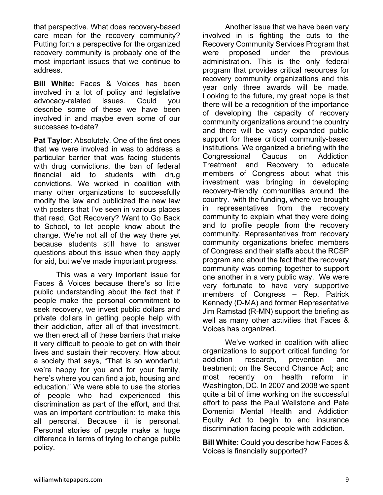that perspective. What does recovery-based care mean for the recovery community? Putting forth a perspective for the organized recovery community is probably one of the most important issues that we continue to address.

**Bill White:** Faces & Voices has been involved in a lot of policy and legislative advocacy-related issues. Could you describe some of these we have been involved in and maybe even some of our successes to-date?

**Pat Taylor:** Absolutely. One of the first ones that we were involved in was to address a particular barrier that was facing students with drug convictions, the ban of federal financial aid to students with drug convictions. We worked in coalition with many other organizations to successfully modify the law and publicized the new law with posters that I've seen in various places that read, Got Recovery? Want to Go Back to School, to let people know about the change. We're not all of the way there yet because students still have to answer questions about this issue when they apply for aid, but we've made important progress.

 This was a very important issue for Faces & Voices because there's so little public understanding about the fact that if people make the personal commitment to seek recovery, we invest public dollars and private dollars in getting people help with their addiction, after all of that investment, we then erect all of these barriers that make it very difficult to people to get on with their lives and sustain their recovery. How about a society that says, "That is so wonderful; we're happy for you and for your family, here's where you can find a job, housing and education." We were able to use the stories of people who had experienced this discrimination as part of the effort, and that was an important contribution: to make this all personal. Because it is personal. Personal stories of people make a huge difference in terms of trying to change public policy.

 Another issue that we have been very involved in is fighting the cuts to the Recovery Community Services Program that were proposed under the previous administration. This is the only federal program that provides critical resources for recovery community organizations and this year only three awards will be made. Looking to the future, my great hope is that there will be a recognition of the importance of developing the capacity of recovery community organizations around the country and there will be vastly expanded public support for these critical community-based institutions. We organized a briefing with the Congressional Caucus on Addiction Treatment and Recovery to educate members of Congress about what this investment was bringing in developing recovery-friendly communities around the country. with the funding, where we brought in representatives from the recovery community to explain what they were doing and to profile people from the recovery community. Representatives from recovery community organizations briefed members of Congress and their staffs about the RCSP program and about the fact that the recovery community was coming together to support one another in a very public way. We were very fortunate to have very supportive members of Congress – Rep. Patrick Kennedy (D-MA) and former Representative Jim Ramstad (R-MN) support the briefing as well as many other activities that Faces & Voices has organized.

 We've worked in coalition with allied organizations to support critical funding for addiction research, prevention and treatment; on the Second Chance Act; and most recently on health reform in Washington, DC. In 2007 and 2008 we spent quite a bit of time working on the successful effort to pass the Paul Wellstone and Pete Domenici Mental Health and Addiction Equity Act to begin to end insurance discrimination facing people with addiction.

**Bill White:** Could you describe how Faces & Voices is financially supported?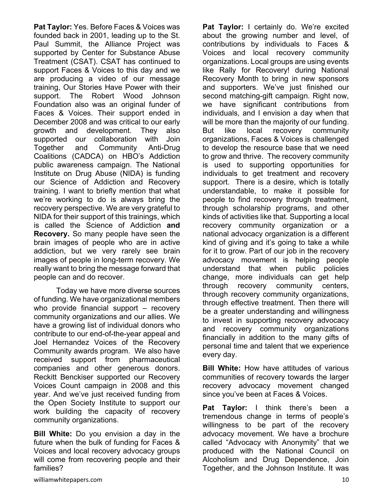**Pat Taylor:** Yes. Before Faces & Voices was founded back in 2001, leading up to the St. Paul Summit, the Alliance Project was supported by Center for Substance Abuse Treatment (CSAT). CSAT has continued to support Faces & Voices to this day and we are producing a video of our message training, Our Stories Have Power with their support. The Robert Wood Johnson Foundation also was an original funder of Faces & Voices. Their support ended in December 2008 and was critical to our early growth and development. They also supported our collaboration with Join Together and Community Anti-Drug Coalitions (CADCA) on HBO's Addiction public awareness campaign. The National Institute on Drug Abuse (NIDA) is funding our Science of Addiction and Recovery training. I want to briefly mention that what we're working to do is always bring the recovery perspective. We are very grateful to NIDA for their support of this trainings, which is called the Science of Addiction **and Recovery.** So many people have seen the brain images of people who are in active addiction, but we very rarely see brain images of people in long-term recovery. We really want to bring the message forward that people can and do recover.

 Today we have more diverse sources of funding. We have organizational members who provide financial support – recovery community organizations and our allies. We have a growing list of individual donors who contribute to our end-of-the-year appeal and Joel Hernandez Voices of the Recovery Community awards program. We also have received support from pharmaceutical companies and other generous donors. Reckitt Benckiser supported our Recovery Voices Count campaign in 2008 and this year. And we've just received funding from the Open Society Institute to support our work building the capacity of recovery community organizations.

**Bill White:** Do you envision a day in the future when the bulk of funding for Faces & Voices and local recovery advocacy groups will come from recovering people and their families?

**Pat Taylor:** I certainly do. We're excited about the growing number and level, of contributions by individuals to Faces & Voices and local recovery community organizations. Local groups are using events like Rally for Recovery! during National Recovery Month to bring in new sponsors and supporters. We've just finished our second matching-gift campaign. Right now, we have significant contributions from individuals, and I envision a day when that will be more than the majority of our funding. But like local recovery community organizations, Faces & Voices is challenged to develop the resource base that we need to grow and thrive. The recovery community is used to supporting opportunities for individuals to get treatment and recovery support. There is a desire, which is totally understandable, to make it possible for people to find recovery through treatment, through scholarship programs, and other kinds of activities like that. Supporting a local recovery community organization or a national advocacy organization is a different kind of giving and it's going to take a while for it to grow. Part of our job in the recovery advocacy movement is helping people understand that when public policies change, more individuals can get help through recovery community centers, through recovery community organizations, through effective treatment. Then there will be a greater understanding and willingness to invest in supporting recovery advocacy and recovery community organizations financially in addition to the many gifts of personal time and talent that we experience every day.

**Bill White:** How have attitudes of various communities of recovery towards the larger recovery advocacy movement changed since you've been at Faces & Voices.

**Pat Taylor:** I think there's been a tremendous change in terms of people's willingness to be part of the recovery advocacy movement. We have a brochure called "Advocacy with Anonymity" that we produced with the National Council on Alcoholism and Drug Dependence, Join Together, and the Johnson Institute. It was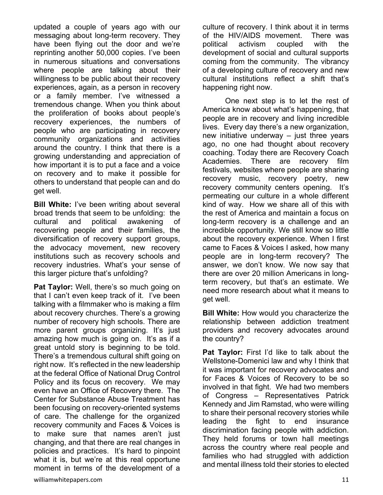updated a couple of years ago with our messaging about long-term recovery. They have been flying out the door and we're reprinting another 50,000 copies. I've been in numerous situations and conversations where people are talking about their willingness to be public about their recovery experiences, again, as a person in recovery or a family member. I've witnessed a tremendous change. When you think about the proliferation of books about people's recovery experiences, the numbers of people who are participating in recovery community organizations and activities around the country. I think that there is a growing understanding and appreciation of how important it is to put a face and a voice on recovery and to make it possible for others to understand that people can and do get well.

**Bill White:** I've been writing about several broad trends that seem to be unfolding: the cultural and political awakening of recovering people and their families, the diversification of recovery support groups, the advocacy movement, new recovery institutions such as recovery schools and recovery industries. What's your sense of this larger picture that's unfolding?

**Pat Taylor:** Well, there's so much going on that I can't even keep track of it. I've been talking with a filmmaker who is making a film about recovery churches. There's a growing number of recovery high schools. There are more parent groups organizing. It's just amazing how much is going on. It's as if a great untold story is beginning to be told. There's a tremendous cultural shift going on right now. It's reflected in the new leadership at the federal Office of National Drug Control Policy and its focus on recovery. We may even have an Office of Recovery there. The Center for Substance Abuse Treatment has been focusing on recovery-oriented systems of care. The challenge for the organized recovery community and Faces & Voices is to make sure that names aren't just changing, and that there are real changes in policies and practices. It's hard to pinpoint what it is, but we're at this real opportune moment in terms of the development of a

 One next step is to let the rest of America know about what's happening, that people are in recovery and living incredible lives. Every day there's a new organization, new initiative underway – just three years ago, no one had thought about recovery coaching. Today there are Recovery Coach Academies. There are recovery film festivals, websites where people are sharing recovery music, recovery poetry, new recovery community centers opening. It's permeating our culture in a whole different kind of way. How we share all of this with the rest of America and maintain a focus on long-term recovery is a challenge and an incredible opportunity. We still know so little about the recovery experience. When I first came to Faces & Voices I asked, how many people are in long-term recovery? The answer, we don't know. We now say that there are over 20 million Americans in longterm recovery, but that's an estimate. We need more research about what it means to get well.

**Bill White:** How would you characterize the relationship between addiction treatment providers and recovery advocates around the country?

**Pat Taylor:** First I'd like to talk about the Wellstone-Domenici law and why I think that it was important for recovery advocates and for Faces & Voices of Recovery to be so involved in that fight. We had two members of Congress – Representatives Patrick Kennedy and Jim Ramstad, who were willing to share their personal recovery stories while leading the fight to end insurance discrimination facing people with addiction. They held forums or town hall meetings across the country where real people and families who had struggled with addiction and mental illness told their stories to elected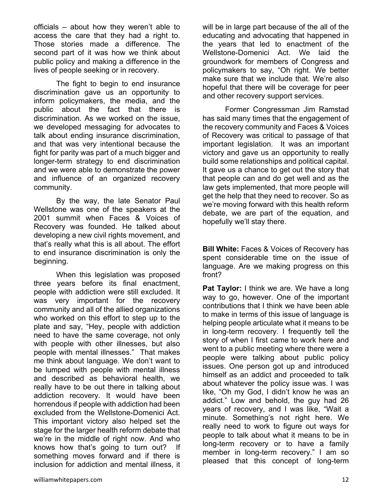officials – about how they weren't able to access the care that they had a right to. Those stories made a difference. The second part of it was how we think about public policy and making a difference in the lives of people seeking or in recovery.

 The fight to begin to end insurance discrimination gave us an opportunity to inform policymakers, the media, and the public about the fact that there is discrimination. As we worked on the issue, we developed messaging for advocates to talk about ending insurance discrimination, and that was very intentional because the fight for parity was part of a much bigger and longer-term strategy to end discrimination and we were able to demonstrate the power and influence of an organized recovery community.

 By the way, the late Senator Paul Wellstone was one of the speakers at the 2001 summit when Faces & Voices of Recovery was founded. He talked about developing a new civil rights movement, and that's really what this is all about. The effort to end insurance discrimination is only the beginning.

 When this legislation was proposed three years before its final enactment, people with addiction were still excluded. It was very important for the recovery community and all of the allied organizations who worked on this effort to step up to the plate and say, "Hey, people with addiction need to have the same coverage, not only with people with other illnesses, but also people with mental illnesses." That makes me think about language. We don't want to be lumped with people with mental illness and described as behavioral health, we really have to be out there in talking about addiction recovery. It would have been horrendous if people with addiction had been excluded from the Wellstone-Domenici Act. This important victory also helped set the stage for the larger health reform debate that we're in the middle of right now. And who knows how that's going to turn out? If something moves forward and if there is inclusion for addiction and mental illness, it

will be in large part because of the all of the educating and advocating that happened in the years that led to enactment of the Wellstone-Domenici Act. We laid the groundwork for members of Congress and policymakers to say, "Oh right. We better make sure that we include that. We're also hopeful that there will be coverage for peer and other recovery support services.

 Former Congressman Jim Ramstad has said many times that the engagement of the recovery community and Faces & Voices of Recovery was critical to passage of that important legislation. It was an important victory and gave us an opportunity to really build some relationships and political capital. It gave us a chance to get out the story that that people can and do get well and as the law gets implemented, that more people will get the help that they need to recover. So as we're moving forward with this health reform debate, we are part of the equation, and hopefully we'll stay there.

**Bill White:** Faces & Voices of Recovery has spent considerable time on the issue of language. Are we making progress on this front?

**Pat Taylor:** I think we are. We have a long way to go, however. One of the important contributions that I think we have been able to make in terms of this issue of language is helping people articulate what it means to be in long-term recovery. I frequently tell the story of when I first came to work here and went to a public meeting where there were a people were talking about public policy issues. One person got up and introduced himself as an addict and proceeded to talk about whatever the policy issue was. I was like, "Oh my God, I didn't know he was an addict." Low and behold, the guy had 26 years of recovery, and I was like, "Wait a minute. Something's not right here. We really need to work to figure out ways for people to talk about what it means to be in long-term recovery or to have a family member in long-term recovery." I am so pleased that this concept of long-term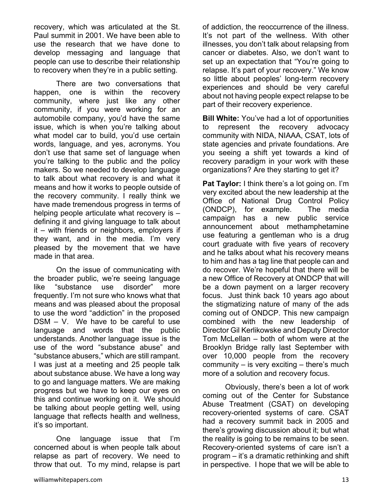recovery, which was articulated at the St. Paul summit in 2001. We have been able to use the research that we have done to develop messaging and language that people can use to describe their relationship to recovery when they're in a public setting.

 There are two conversations that happen, one is within the recovery community, where just like any other community, if you were working for an automobile company, you'd have the same issue, which is when you're talking about what model car to build, you'd use certain words, language, and yes, acronyms. You don't use that same set of language when you're talking to the public and the policy makers. So we needed to develop language to talk about what recovery is and what it means and how it works to people outside of the recovery community. I really think we have made tremendous progress in terms of helping people articulate what recovery is defining it and giving language to talk about it – with friends or neighbors, employers if they want, and in the media. I'm very pleased by the movement that we have made in that area.

 On the issue of communicating with the broader public, we're seeing language like "substance use disorder" more frequently. I'm not sure who knows what that means and was pleased about the proposal to use the word "addiction" in the proposed DSM – V. We have to be careful to use language and words that the public understands. Another language issue is the use of the word "substance abuse" and "substance abusers," which are still rampant. I was just at a meeting and 25 people talk about substance abuse. We have a long way to go and language matters. We are making progress but we have to keep our eyes on this and continue working on it. We should be talking about people getting well, using language that reflects health and wellness, it's so important.

 One language issue that I'm concerned about is when people talk about relapse as part of recovery. We need to throw that out. To my mind, relapse is part of addiction, the reoccurrence of the illness. It's not part of the wellness. With other illnesses, you don't talk about relapsing from cancer or diabetes. Also, we don't want to set up an expectation that "You're going to relapse. It's part of your recovery." We know so little about peoples' long-term recovery experiences and should be very careful about not having people expect relapse to be part of their recovery experience.

**Bill White:** You've had a lot of opportunities to represent the recovery advocacy community with NIDA, NIAAA, CSAT, lots of state agencies and private foundations. Are you seeing a shift yet towards a kind of recovery paradigm in your work with these organizations? Are they starting to get it?

**Pat Taylor:** I think there's a lot going on. I'm very excited about the new leadership at the Office of National Drug Control Policy (ONDCP), for example. The media campaign has a new public service announcement about methamphetamine use featuring a gentleman who is a drug court graduate with five years of recovery and he talks about what his recovery means to him and has a tag line that people can and do recover. We're hopeful that there will be a new Office of Recovery at ONDCP that will be a down payment on a larger recovery focus. Just think back 10 years ago about the stigmatizing nature of many of the ads coming out of ONDCP. This new campaign combined with the new leadership of Director Gil Kerlikowske and Deputy Director Tom McLellan – both of whom were at the Brooklyn Bridge rally last September with over 10,000 people from the recovery community – is very exciting – there's much more of a solution and recovery focus.

 Obviously, there's been a lot of work coming out of the Center for Substance Abuse Treatment (CSAT) on developing recovery-oriented systems of care. CSAT had a recovery summit back in 2005 and there's growing discussion about it; but what the reality is going to be remains to be seen. Recovery-oriented systems of care isn't a program – it's a dramatic rethinking and shift in perspective. I hope that we will be able to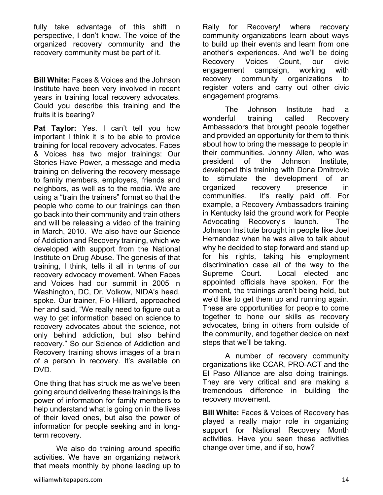fully take advantage of this shift in perspective, I don't know. The voice of the organized recovery community and the recovery community must be part of it.

**Bill White:** Faces & Voices and the Johnson Institute have been very involved in recent years in training local recovery advocates. Could you describe this training and the fruits it is bearing?

**Pat Taylor:** Yes. I can't tell you how important I think it is to be able to provide training for local recovery advocates. Faces & Voices has two major trainings: Our Stories Have Power, a message and media training on delivering the recovery message to family members, employers, friends and neighbors, as well as to the media. We are using a "train the trainers" format so that the people who come to our trainings can then go back into their community and train others and will be releasing a video of the training in March, 2010. We also have our Science of Addiction and Recovery training, which we developed with support from the National Institute on Drug Abuse. The genesis of that training, I think, tells it all in terms of our recovery advocacy movement. When Faces and Voices had our summit in 2005 in Washington, DC, Dr. Volkow, NIDA's head, spoke. Our trainer, Flo Hilliard, approached her and said, "We really need to figure out a way to get information based on science to recovery advocates about the science, not only behind addiction, but also behind recovery." So our Science of Addiction and Recovery training shows images of a brain of a person in recovery. It's available on DVD.

One thing that has struck me as we've been going around delivering these trainings is the power of information for family members to help understand what is going on in the lives of their loved ones, but also the power of information for people seeking and in longterm recovery.

We also do training around specific activities. We have an organizing network that meets monthly by phone leading up to Rally for Recovery! where recovery community organizations learn about ways to build up their events and learn from one another's experiences. And we'll be doing Recovery Voices Count, our civic engagement campaign, working with recovery community organizations to register voters and carry out other civic engagement programs.

 The Johnson Institute had a wonderful training called Recovery Ambassadors that brought people together and provided an opportunity for them to think about how to bring the message to people in their communities. Johnny Allen, who was president of the Johnson Institute, developed this training with Dona Dmitrovic to stimulate the development of an organized recovery presence in communities. It's really paid off. For example, a Recovery Ambassadors training in Kentucky laid the ground work for People Advocating Recovery's launch. The Johnson Institute brought in people like Joel Hernandez when he was alive to talk about why he decided to step forward and stand up for his rights, taking his employment discrimination case all of the way to the Supreme Court. Local elected and appointed officials have spoken. For the moment, the trainings aren't being held, but we'd like to get them up and running again. These are opportunities for people to come together to hone our skills as recovery advocates, bring in others from outside of the community, and together decide on next steps that we'll be taking.

 A number of recovery community organizations like CCAR, PRO-ACT and the El Paso Alliance are also doing trainings. They are very critical and are making a tremendous difference in building the recovery movement.

**Bill White:** Faces & Voices of Recovery has played a really major role in organizing support for National Recovery Month activities. Have you seen these activities change over time, and if so, how?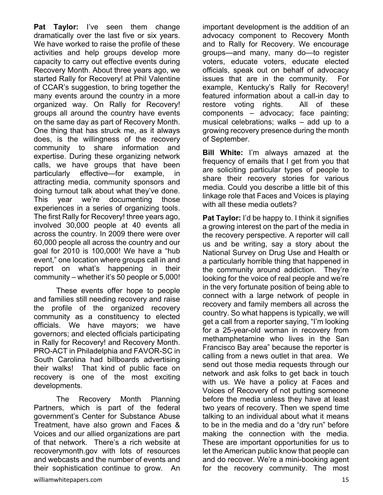**Pat Taylor:** I've seen them change dramatically over the last five or six years. We have worked to raise the profile of these activities and help groups develop more capacity to carry out effective events during Recovery Month. About three years ago, we started Rally for Recovery! at Phil Valentine of CCAR's suggestion, to bring together the many events around the country in a more organized way. On Rally for Recovery! groups all around the country have events on the same day as part of Recovery Month. One thing that has struck me, as it always does, is the willingness of the recovery community to share information and expertise. During these organizing network calls, we have groups that have been particularly effective—for example, in attracting media, community sponsors and doing turnout talk about what they've done. This year we're documenting those experiences in a series of organizing tools. The first Rally for Recovery! three years ago, involved 30,000 people at 40 events all across the country. In 2009 there were over 60,000 people all across the country and our goal for 2010 is 100,000! We have a "hub event," one location where groups call in and report on what's happening in their community – whether it's 50 people or 5,000!

 These events offer hope to people and families still needing recovery and raise the profile of the organized recovery community as a constituency to elected officials. We have mayors; we have governors; and elected officials participating in Rally for Recovery! and Recovery Month. PRO-ACT in Philadelphia and FAVOR-SC in South Carolina had billboards advertising their walks! That kind of public face on recovery is one of the most exciting developments.

 The Recovery Month Planning Partners, which is part of the federal government's Center for Substance Abuse Treatment, have also grown and Faces & Voices and our allied organizations are part of that network. There's a rich website at recoverymonth.gov with lots of resources and webcasts and the number of events and their sophistication continue to grow. An

important development is the addition of an advocacy component to Recovery Month and to Rally for Recovery. We encourage groups—and many, many do—to register voters, educate voters, educate elected officials, speak out on behalf of advocacy issues that are in the community. For example, Kentucky's Rally for Recovery! featured information about a call-in day to restore voting rights. All of these components – advocacy; face painting; musical celebrations; walks – add up to a growing recovery presence during the month of September.

**Bill White:** I'm always amazed at the frequency of emails that I get from you that are soliciting particular types of people to share their recovery stories for various media. Could you describe a little bit of this linkage role that Faces and Voices is playing with all these media outlets?

**Pat Taylor:** I'd be happy to. I think it signifies a growing interest on the part of the media in the recovery perspective. A reporter will call us and be writing, say a story about the National Survey on Drug Use and Health or a particularly horrible thing that happened in the community around addiction. They're looking for the voice of real people and we're in the very fortunate position of being able to connect with a large network of people in recovery and family members all across the country. So what happens is typically, we will get a call from a reporter saying, "I'm looking for a 25-year-old woman in recovery from methamphetamine who lives in the San Francisco Bay area" because the reporter is calling from a news outlet in that area. We send out those media requests through our network and ask folks to get back in touch with us. We have a policy at Faces and Voices of Recovery of not putting someone before the media unless they have at least two years of recovery. Then we spend time talking to an individual about what it means to be in the media and do a "dry run" before making the connection with the media. These are important opportunities for us to let the American public know that people can and do recover. We're a mini-booking agent for the recovery community. The most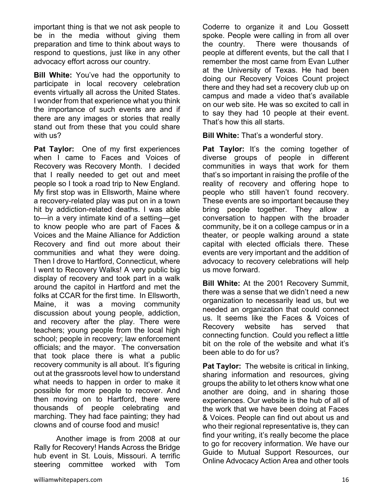important thing is that we not ask people to be in the media without giving them preparation and time to think about ways to respond to questions, just like in any other advocacy effort across our country.

**Bill White:** You've had the opportunity to participate in local recovery celebration events virtually all across the United States. I wonder from that experience what you think the importance of such events are and if there are any images or stories that really stand out from these that you could share with us?

**Pat Taylor:** One of my first experiences when I came to Faces and Voices of Recovery was Recovery Month. I decided that I really needed to get out and meet people so I took a road trip to New England. My first stop was in Ellsworth, Maine where a recovery-related play was put on in a town hit by addiction-related deaths. I was able to—in a very intimate kind of a setting—get to know people who are part of Faces & Voices and the Maine Alliance for Addiction Recovery and find out more about their communities and what they were doing. Then I drove to Hartford, Connecticut, where I went to Recovery Walks! A very public big display of recovery and took part in a walk around the capitol in Hartford and met the folks at CCAR for the first time. In Ellsworth, Maine, it was a moving community discussion about young people, addiction, and recovery after the play. There were teachers; young people from the local high school; people in recovery; law enforcement officials; and the mayor. The conversation that took place there is what a public recovery community is all about. It's figuring out at the grassroots level how to understand what needs to happen in order to make it possible for more people to recover. And then moving on to Hartford, there were thousands of people celebrating and marching. They had face painting; they had clowns and of course food and music!

 Another image is from 2008 at our Rally for Recovery! Hands Across the Bridge hub event in St. Louis, Missouri. A terrific steering committee worked with Tom

Coderre to organize it and Lou Gossett spoke. People were calling in from all over the country. There were thousands of people at different events, but the call that I remember the most came from Evan Luther at the University of Texas. He had been doing our Recovery Voices Count project there and they had set a recovery club up on campus and made a video that's available on our web site. He was so excited to call in to say they had 10 people at their event. That's how this all starts.

**Bill White:** That's a wonderful story.

**Pat Taylor:** It's the coming together of diverse groups of people in different communities in ways that work for them that's so important in raising the profile of the reality of recovery and offering hope to people who still haven't found recovery. These events are so important because they bring people together. They allow a conversation to happen with the broader community, be it on a college campus or in a theater, or people walking around a state capital with elected officials there. These events are very important and the addition of advocacy to recovery celebrations will help us move forward.

**Bill White:** At the 2001 Recovery Summit, there was a sense that we didn't need a new organization to necessarily lead us, but we needed an organization that could connect us. It seems like the Faces & Voices of Recovery website has served that connecting function. Could you reflect a little bit on the role of the website and what it's been able to do for us?

**Pat Taylor:** The website is critical in linking, sharing information and resources, giving groups the ability to let others know what one another are doing, and in sharing those experiences. Our website is the hub of all of the work that we have been doing at Faces & Voices. People can find out about us and who their regional representative is, they can find your writing, it's really become the place to go for recovery information. We have our Guide to Mutual Support Resources, our Online Advocacy Action Area and other tools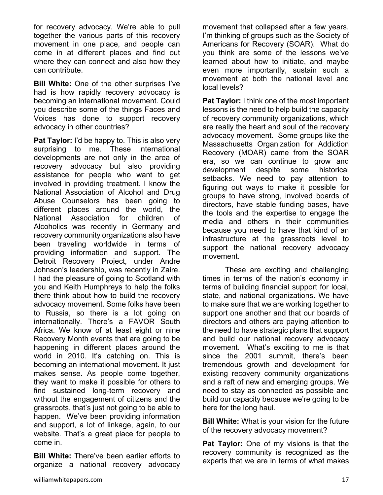for recovery advocacy. We're able to pull together the various parts of this recovery movement in one place, and people can come in at different places and find out where they can connect and also how they can contribute.

**Bill White:** One of the other surprises I've had is how rapidly recovery advocacy is becoming an international movement. Could you describe some of the things Faces and Voices has done to support recovery advocacy in other countries?

**Pat Taylor:** I'd be happy to. This is also very surprising to me. These international developments are not only in the area of recovery advocacy but also providing assistance for people who want to get involved in providing treatment. I know the National Association of Alcohol and Drug Abuse Counselors has been going to different places around the world, the National Association for children of Alcoholics was recently in Germany and recovery community organizations also have been traveling worldwide in terms of providing information and support. The Detroit Recovery Project, under Andre Johnson's leadership, was recently in Zaire. I had the pleasure of going to Scotland with you and Keith Humphreys to help the folks there think about how to build the recovery advocacy movement. Some folks have been to Russia, so there is a lot going on internationally. There's a FAVOR South Africa. We know of at least eight or nine Recovery Month events that are going to be happening in different places around the world in 2010. It's catching on. This is becoming an international movement. It just makes sense. As people come together, they want to make it possible for others to find sustained long-term recovery and without the engagement of citizens and the grassroots, that's just not going to be able to happen. We've been providing information and support, a lot of linkage, again, to our website. That's a great place for people to come in.

**Bill White:** There've been earlier efforts to organize a national recovery advocacy movement that collapsed after a few years. I'm thinking of groups such as the Society of Americans for Recovery (SOAR). What do you think are some of the lessons we've learned about how to initiate, and maybe even more importantly, sustain such a movement at both the national level and local levels?

**Pat Taylor:** I think one of the most important lessons is the need to help build the capacity of recovery community organizations, which are really the heart and soul of the recovery advocacy movement. Some groups like the Massachusetts Organization for Addiction Recovery (MOAR) came from the SOAR era, so we can continue to grow and development despite some historical setbacks. We need to pay attention to figuring out ways to make it possible for groups to have strong, involved boards of directors, have stable funding bases, have the tools and the expertise to engage the media and others in their communities because you need to have that kind of an infrastructure at the grassroots level to support the national recovery advocacy movement.

 These are exciting and challenging times in terms of the nation's economy in terms of building financial support for local, state, and national organizations. We have to make sure that we are working together to support one another and that our boards of directors and others are paying attention to the need to have strategic plans that support and build our national recovery advocacy movement. What's exciting to me is that since the 2001 summit, there's been tremendous growth and development for existing recovery community organizations and a raft of new and emerging groups. We need to stay as connected as possible and build our capacity because we're going to be here for the long haul.

**Bill White:** What is your vision for the future of the recovery advocacy movement?

**Pat Taylor:** One of my visions is that the recovery community is recognized as the experts that we are in terms of what makes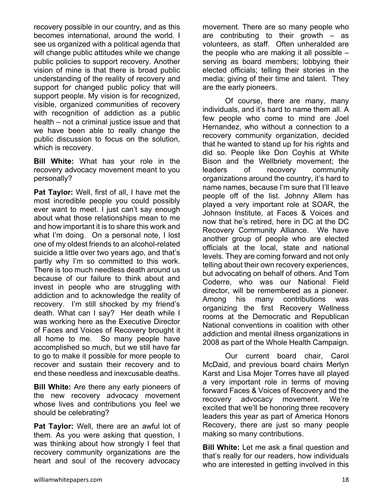recovery possible in our country, and as this becomes international, around the world. I see us organized with a political agenda that will change public attitudes while we change public policies to support recovery. Another vision of mine is that there is broad public understanding of the reality of recovery and support for changed public policy that will support people. My vision is for recognized, visible, organized communities of recovery with recognition of addiction as a public health – not a criminal justice issue and that we have been able to really change the public discussion to focus on the solution, which is recovery.

**Bill White:** What has your role in the recovery advocacy movement meant to you personally?

**Pat Taylor:** Well, first of all, I have met the most incredible people you could possibly ever want to meet. I just can't say enough about what those relationships mean to me and how important it is to share this work and what I'm doing. On a personal note, I lost one of my oldest friends to an alcohol-related suicide a little over two years ago, and that's partly why I'm so committed to this work. There is too much needless death around us because of our failure to think about and invest in people who are struggling with addiction and to acknowledge the reality of recovery. I'm still shocked by my friend's death. What can I say? Her death while I was working here as the Executive Director of Faces and Voices of Recovery brought it all home to me. So many people have accomplished so much, but we still have far to go to make it possible for more people to recover and sustain their recovery and to end these needless and inexcusable deaths.

**Bill White:** Are there any early pioneers of the new recovery advocacy movement whose lives and contributions you feel we should be celebrating?

**Pat Taylor:** Well, there are an awful lot of them. As you were asking that question, I was thinking about how strongly I feel that recovery community organizations are the heart and soul of the recovery advocacy

movement. There are so many people who are contributing to their growth – as volunteers, as staff. Often unheralded are the people who are making it all possible – serving as board members; lobbying their elected officials; telling their stories in the media; giving of their time and talent. They are the early pioneers.

 Of course, there are many, many individuals, and it's hard to name them all. A few people who come to mind are Joel Hernandez, who without a connection to a recovery community organization, decided that he wanted to stand up for his rights and did so. People like Don Coyhis at White Bison and the Wellbriety movement; the leaders of recovery community organizations around the country, it's hard to name names, because I'm sure that I'll leave people off of the list. Johnny Allem has played a very important role at SOAR, the Johnson Institute, at Faces & Voices and now that he's retired, here in DC at the DC Recovery Community Alliance. We have another group of people who are elected officials at the local, state and national levels. They are coming forward and not only telling about their own recovery experiences, but advocating on behalf of others. And Tom Coderre, who was our National Field director, will be remembered as a pioneer. Among his many contributions was organizing the first Recovery Wellness rooms at the Democratic and Republican National conventions in coalition with other addiction and mental illness organizations in 2008 as part of the Whole Health Campaign.

 Our current board chair, Carol McDaid, and previous board chairs Merlyn Karst and Lisa Mojer Torres have all played a very important role in terms of moving forward Faces & Voices of Recovery and the recovery advocacy movement. We're excited that we'll be honoring three recovery leaders this year as part of America Honors Recovery, there are just so many people making so many contributions.

**Bill White:** Let me ask a final question and that's really for our readers, how individuals who are interested in getting involved in this